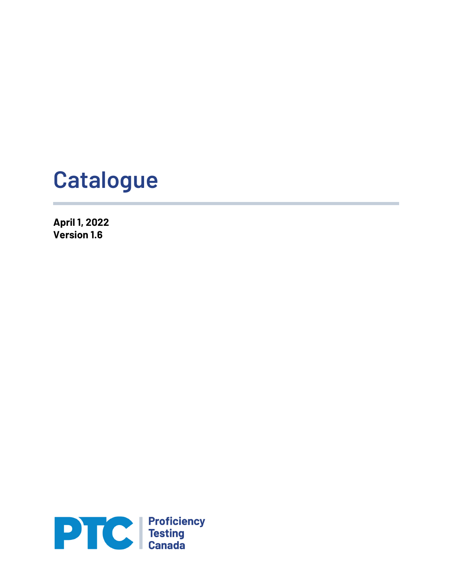# **Catalogue**

**April 1, 2022 Version 1.6**

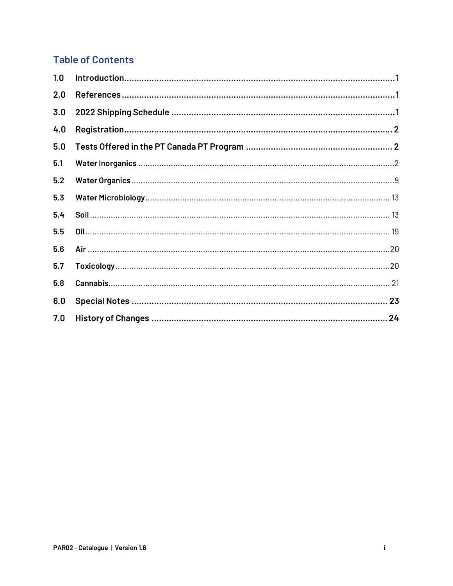#### **Table of Contents**

| 1.0 |  |
|-----|--|
| 2.0 |  |
| 3.0 |  |
| 4.0 |  |
| 5.0 |  |
| 5.1 |  |
| 5.2 |  |
| 5.3 |  |
| 5.4 |  |
| 5.5 |  |
| 5.6 |  |
| 5.7 |  |
| 5.8 |  |
| 6.0 |  |
| 7.0 |  |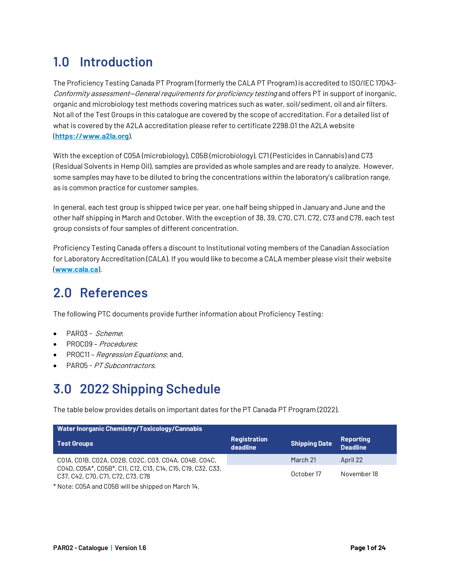## **1.0 Introduction**

The Proficiency Testing Canada PT Program (formerly the CALA PT Program) is accredited to ISO/IEC 17043- Conformity assessment—General requirements for proficiency testing and offers PT in support of inorganic, organic and microbiology test methods covering matrices such as water, soil/sediment, oil and air filters. Not all of the Test Groups in this catalogue are covered by the scope of accreditation. For a detailed list of what is covered by the A2LA accreditation please refer to certificate 2298.01 the A2LA website (**https://www.a2la.org**).

With the exception of C05A (microbiology), C05B (microbiology), C71 (Pesticides in Cannabis) and C73 (Residual Solvents in Hemp Oil), samples are provided as whole samples and are ready to analyze. However, some samples may have to be diluted to bring the concentrations within the laboratory's calibration range, as is common practice for customer samples.

In general, each test group is shipped twice per year, one half being shipped in January and June and the other half shipping in March and October. With the exception of 38, 39, C70, C71, C72, C73 and C78, each test group consists of four samples of different concentration.

Proficiency Testing Canada offers a discount to Institutional voting members of the Canadian Association for Laboratory Accreditation (CALA). If you would like to become a CALA member please visit their website (**www.cala.ca**).

## **2.0 References**

The following PTC documents provide further information about Proficiency Testing:

- PAR03 Scheme;
- PROC09 Procedures;
- PROC11 *Regression Equations*; and,
- PAR05 PT Subcontractors.

## **3.0 2022 Shipping Schedule**

The table below provides details on important dates for the PT Canada PT Program (2022).

| <b>Water Inorganic Chemistry/Toxicology/Cannabis</b>                                             |                                 |                      |                              |  |
|--------------------------------------------------------------------------------------------------|---------------------------------|----------------------|------------------------------|--|
| <b>Test Groups</b>                                                                               | <b>Registration</b><br>deadline | <b>Shipping Date</b> | Reporting<br><b>Deadline</b> |  |
| CO1A, CO1B, CO2A, CO2B, CO2C, CO3, CO4A, CO4B, CO4C,                                             |                                 | March 21             | April 22                     |  |
| C04D, C05A*, C05B*, C11, C12, C13, C14, C15, C19, C32, C33,<br>C37, C42, C70, C71, C72, C73, C78 |                                 | October 17           | November 18                  |  |

\* Note: C05A and C05B will be shipped on March 14.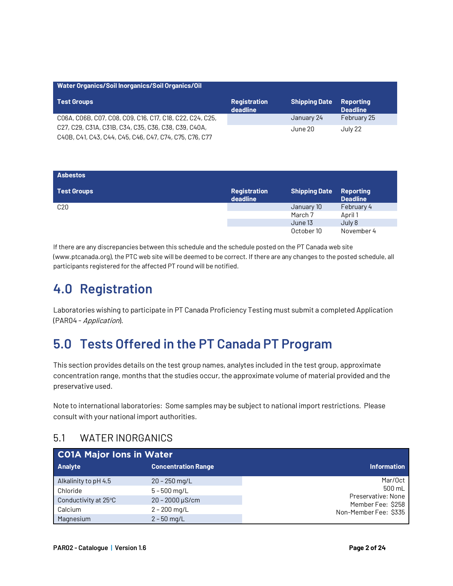| Water Organics/Soil Inorganics/Soil Organics/Oil                                                               |                                                                                                |            |             |  |
|----------------------------------------------------------------------------------------------------------------|------------------------------------------------------------------------------------------------|------------|-------------|--|
| <b>Test Groups</b>                                                                                             | <b>Shipping Date</b><br><b>Registration</b><br><b>Reporting</b><br>deadline<br><b>Deadline</b> |            |             |  |
| CO6A, CO6B, CO7, CO8, CO9, C16, C17, C18, C22, C24, C25,                                                       |                                                                                                | January 24 | February 25 |  |
| C27, C29, C31A, C31B, C34, C35, C36, C38, C39, C40A,<br>C40B, C41, C43, C44, C45, C46, C47, C74, C75, C76, C77 |                                                                                                | June 20    | July 22     |  |

| <b>Asbestos</b>    |                                 |                      |                                     |
|--------------------|---------------------------------|----------------------|-------------------------------------|
| <b>Test Groups</b> | <b>Registration</b><br>deadline | <b>Shipping Date</b> | <b>Reporting</b><br><b>Deadline</b> |
| C <sub>20</sub>    |                                 | January 10           | February 4                          |
|                    |                                 | March 7              | April 1                             |
|                    |                                 | June 13              | July 8                              |
|                    |                                 | October 10           | November 4                          |

If there are any discrepancies between this schedule and the schedule posted on the PT Canada web site (www.ptcanada.org), the PTC web site will be deemed to be correct. If there are any changes to the posted schedule, all participants registered for the affected PT round will be notified.

## **4.0 Registration**

Laboratories wishing to participate in PT Canada Proficiency Testing must submit a completed Application (PAR04 - Application).

## **5.0 Tests Offered in the PT Canada PT Program**

This section provides details on the test group names, analytes included in the test group, approximate concentration range, months that the studies occur, the approximate volume of material provided and the preservative used.

Note to international laboratories: Some samples may be subject to national import restrictions. Please consult with your national import authorities.

#### 5.1 WATER INORGANICS

| <b>CO1A Major lons in Water</b> |                            |                                            |
|---------------------------------|----------------------------|--------------------------------------------|
| <b>Analyte</b>                  | <b>Concentration Range</b> | <b>Information</b>                         |
| Alkalinity to pH 4.5            | $20 - 250$ mg/L            | Mar/Oct                                    |
| Chloride                        | $5 - 500$ mg/L             | 500 mL                                     |
| Conductivity at 25°C            | $20 - 2000$ $\mu$ S/cm     | Preservative: None                         |
| Calcium                         | $2 - 200$ mg/L             | Member Fee: \$258<br>Non-Member Fee: \$335 |
| Magnesium                       | $2 - 50$ ma/L              |                                            |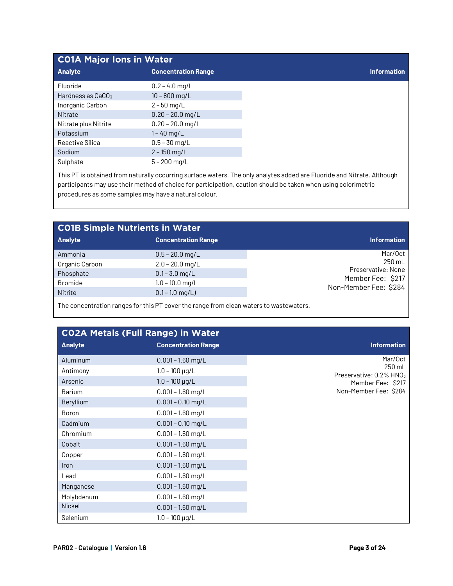|                               | <b>CO1A Major Ions in Water</b> |  |  |
|-------------------------------|---------------------------------|--|--|
| <b>Analyte</b>                | <b>Concentration Range</b>      |  |  |
| Fluoride                      | $0.2 - 4.0$ mg/L                |  |  |
| Hardness as CaCO <sub>3</sub> | $10 - 800$ mg/L                 |  |  |
| Inorganic Carbon              | $2 - 50$ mg/L                   |  |  |
| Nitrate                       | $0.20 - 20.0$ mg/L              |  |  |
| Nitrate plus Nitrite          | $0.20 - 20.0$ mg/L              |  |  |
| Potassium                     | $1 - 40$ mg/L                   |  |  |
| Reactive Silica               | $0.5 - 30$ mg/L                 |  |  |
| Sodium                        | $2 - 150$ mg/L                  |  |  |
| Sulphate                      | $5 - 200$ mg/L                  |  |  |

This PT is obtained from naturally occurring surface waters. The only analytes added are Fluoride and Nitrate. Although participants may use their method of choice for participation, caution should be taken when using colorimetric procedures as some samples may have a natural colour.

| <b>CO1B Simple Nutrients in Water</b> |                            |                                            |  |  |
|---------------------------------------|----------------------------|--------------------------------------------|--|--|
| <b>Analyte</b>                        | <b>Concentration Range</b> | <b>Information</b>                         |  |  |
| Ammonia                               | $0.5 - 20.0$ mg/L          | Mar/Oct                                    |  |  |
| Organic Carbon                        | $2.0 - 20.0$ mg/L          | 250 mL                                     |  |  |
| Phosphate                             | $0.1 - 3.0$ mg/L           | Preservative: None                         |  |  |
| <b>Bromide</b>                        | $1.0 - 10.0$ mg/L          | Member Fee: \$217<br>Non-Member Fee: \$284 |  |  |
| Nitrite                               | $0.1 - 1.0$ mg/L)          |                                            |  |  |
|                                       |                            |                                            |  |  |

The concentration ranges for this PT cover the range from clean waters to wastewaters.

|                      | <b>CO2A Metals (Full Range) in Water</b>   |                                                          |
|----------------------|--------------------------------------------|----------------------------------------------------------|
| <b>Analyte</b>       | <b>Concentration Range</b>                 | <b>Information</b>                                       |
| Aluminum<br>Antimony | $0.001 - 1.60$ mg/L<br>$1.0 - 100 \mu g/L$ | Mar/Oct<br>250 mL                                        |
| Arsenic              | $1.0 - 100$ µg/L                           | Preservative: 0.2% HNO <sub>3</sub><br>Member Fee: \$217 |
| <b>Barium</b>        | $0.001 - 1.60$ mg/L                        | Non-Member Fee: \$284                                    |
| Beryllium            | $0.001 - 0.10$ mg/L                        |                                                          |
| Boron                | $0.001 - 1.60$ mg/L                        |                                                          |
| Cadmium              | $0.001 - 0.10$ mg/L                        |                                                          |
| Chromium             | $0.001 - 1.60$ mg/L                        |                                                          |
| Cobalt               | $0.001 - 1.60$ mg/L                        |                                                          |
| Copper               | $0.001 - 1.60$ mg/L                        |                                                          |
| Iron                 | $0.001 - 1.60$ mg/L                        |                                                          |
| Lead                 | $0.001 - 1.60$ mg/L                        |                                                          |
| Manganese            | $0.001 - 1.60$ mg/L                        |                                                          |
| Molybdenum           | $0.001 - 1.60$ mg/L                        |                                                          |
| <b>Nickel</b>        | $0.001 - 1.60$ mg/L                        |                                                          |
| Selenium             | $1.0 - 100 \mu g/L$                        |                                                          |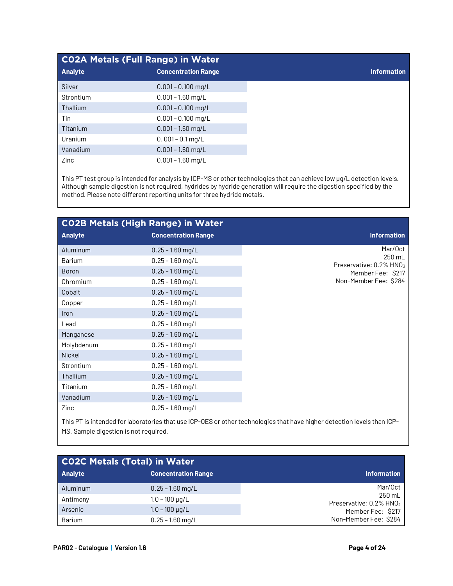| <b>CO2A Metals (Full Range) in Water</b> |                            |
|------------------------------------------|----------------------------|
| <b>Analyte</b>                           | <b>Concentration Range</b> |
| Silver                                   | $0.001 - 0.100$ mg/L       |
| Strontium                                | $0.001 - 1.60$ mg/L        |
| Thallium                                 | $0.001 - 0.100$ mg/L       |
| Tin                                      | $0.001 - 0.100$ mg/L       |
| Titanium                                 | $0.001 - 1.60$ mg/L        |
| Uranium                                  | $0.001 - 0.1$ mg/L         |
| Vanadium                                 | $0.001 - 1.60$ mg/L        |
| Zinc                                     | $0.001 - 1.60$ mg/L        |

This PT test group is intended for analysis by ICP-MS or other technologies that can achieve low µg/L detection levels. Although sample digestion is not required, hydrides by hydride generation will require the digestion specified by the method. Please note different reporting units for three hydride metals.

| <b>CO2B Metals (High Range) in Water</b> |                            |                                                                                                                         |  |  |  |
|------------------------------------------|----------------------------|-------------------------------------------------------------------------------------------------------------------------|--|--|--|
| <b>Analyte</b>                           | <b>Concentration Range</b> | <b>Information</b>                                                                                                      |  |  |  |
| Aluminum                                 | $0.25 - 1.60$ mg/L         | Mar/Oct                                                                                                                 |  |  |  |
| Barium                                   | $0.25 - 1.60$ mg/L         | 250 mL<br>Preservative: 0.2% HNO3                                                                                       |  |  |  |
| <b>Boron</b>                             | $0.25 - 1.60$ mg/L         | Member Fee: \$217                                                                                                       |  |  |  |
| Chromium                                 | $0.25 - 1.60$ mg/L         | Non-Member Fee: \$284                                                                                                   |  |  |  |
| Cobalt                                   | $0.25 - 1.60$ mg/L         |                                                                                                                         |  |  |  |
| Copper                                   | $0.25 - 1.60$ mg/L         |                                                                                                                         |  |  |  |
| <b>Iron</b>                              | $0.25 - 1.60$ mg/L         |                                                                                                                         |  |  |  |
| Lead                                     | $0.25 - 1.60$ mg/L         |                                                                                                                         |  |  |  |
| Manganese                                | $0.25 - 1.60$ mg/L         |                                                                                                                         |  |  |  |
| Molybdenum                               | $0.25 - 1.60$ mg/L         |                                                                                                                         |  |  |  |
| <b>Nickel</b>                            | $0.25 - 1.60$ mg/L         |                                                                                                                         |  |  |  |
| Strontium                                | $0.25 - 1.60$ mg/L         |                                                                                                                         |  |  |  |
| Thallium                                 | $0.25 - 1.60$ mg/L         |                                                                                                                         |  |  |  |
| Titanium                                 | $0.25 - 1.60$ mg/L         |                                                                                                                         |  |  |  |
| Vanadium                                 | $0.25 - 1.60$ mg/L         |                                                                                                                         |  |  |  |
| Zinc                                     | $0.25 - 1.60$ mg/L         |                                                                                                                         |  |  |  |
|                                          |                            | This PT is intended for laboratories that use ICP-OES or other technologies that have higher detection levels than ICP- |  |  |  |

MS. Sample digestion is not required.

| <b>CO2C Metals (Total) in Water</b> |                            |                                               |  |  |
|-------------------------------------|----------------------------|-----------------------------------------------|--|--|
| <b>Analyte</b>                      | <b>Concentration Range</b> | <b>Information</b>                            |  |  |
| Aluminum                            | $0.25 - 1.60$ mg/L         | Mar/Oct                                       |  |  |
| Antimony                            | $1.0 - 100 \mu g/L$        | 250 mL<br>Preservative: 0.2% HNO <sub>3</sub> |  |  |
| Arsenic                             | $1.0 - 100 \mu q/L$        | Member Fee: \$217                             |  |  |
| Barium                              | $0.25 - 1.60$ mg/L         | Non-Member Fee: \$284                         |  |  |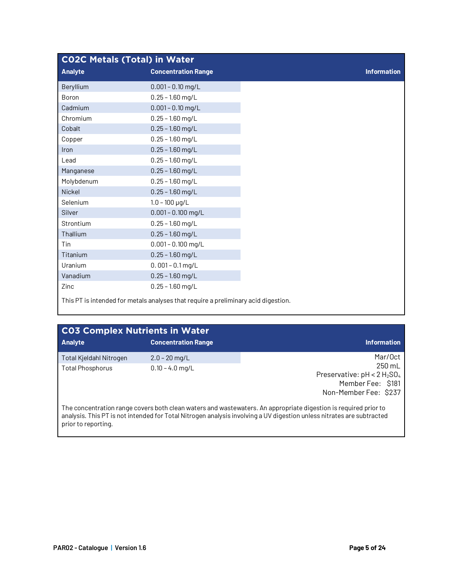| <b>CO2C Metals (Total) in Water</b> |                                                                                    |  |  |
|-------------------------------------|------------------------------------------------------------------------------------|--|--|
| <b>Analyte</b>                      | <b>Concentration Range</b>                                                         |  |  |
| Beryllium                           | $0.001 - 0.10$ mg/L                                                                |  |  |
| Boron                               | $0.25 - 1.60$ mg/L                                                                 |  |  |
| Cadmium                             | $0.001 - 0.10$ mg/L                                                                |  |  |
| Chromium                            | $0.25 - 1.60$ mg/L                                                                 |  |  |
| Cobalt                              | $0.25 - 1.60$ mg/L                                                                 |  |  |
| Copper                              | $0.25 - 1.60$ mg/L                                                                 |  |  |
| Iron                                | $0.25 - 1.60$ mg/L                                                                 |  |  |
| Lead                                | $0.25 - 1.60$ mg/L                                                                 |  |  |
| Manganese                           | $0.25 - 1.60$ mg/L                                                                 |  |  |
| Molybdenum                          | $0.25 - 1.60$ mg/L                                                                 |  |  |
| Nickel                              | $0.25 - 1.60$ mg/L                                                                 |  |  |
| Selenium                            | $1.0 - 100 \mu g/L$                                                                |  |  |
| <b>Silver</b>                       | $0.001 - 0.100$ mg/L                                                               |  |  |
| Strontium                           | $0.25 - 1.60$ mg/L                                                                 |  |  |
| Thallium                            | $0.25 - 1.60$ mg/L                                                                 |  |  |
| Tin                                 | $0.001 - 0.100$ mg/L                                                               |  |  |
| Titanium                            | $0.25 - 1.60$ mg/L                                                                 |  |  |
| Uranium                             | $0.001 - 0.1$ mg/L                                                                 |  |  |
| Vanadium                            | $0.25 - 1.60$ mg/L                                                                 |  |  |
| Zinc                                | $0.25 - 1.60$ mg/L                                                                 |  |  |
|                                     | This PT is intended for metals analyses that require a preliminary acid digestion. |  |  |

| <b>CO3 Complex Nutrients in Water</b> |                            |                                                                                                                                                                                                                                          |
|---------------------------------------|----------------------------|------------------------------------------------------------------------------------------------------------------------------------------------------------------------------------------------------------------------------------------|
| <b>Analyte</b>                        | <b>Concentration Range</b> | <b>Information</b>                                                                                                                                                                                                                       |
| Total Kjeldahl Nitrogen               | $2.0 - 20$ mg/L            | Mar/Oct                                                                                                                                                                                                                                  |
| <b>Total Phosphorus</b>               | $0.10 - 4.0$ mg/L          | $250 \text{ mL}$                                                                                                                                                                                                                         |
|                                       |                            | Preservative: $pH < 2 H_2SO_4$                                                                                                                                                                                                           |
|                                       |                            | Member Fee: \$181                                                                                                                                                                                                                        |
|                                       |                            | Non-Member Fee: \$237                                                                                                                                                                                                                    |
| prior to reporting.                   |                            | The concentration range covers both clean waters and wastewaters. An appropriate digestion is required prior to<br>analysis. This PT is not intended for Total Nitrogen analysis involving a UV digestion unless nitrates are subtracted |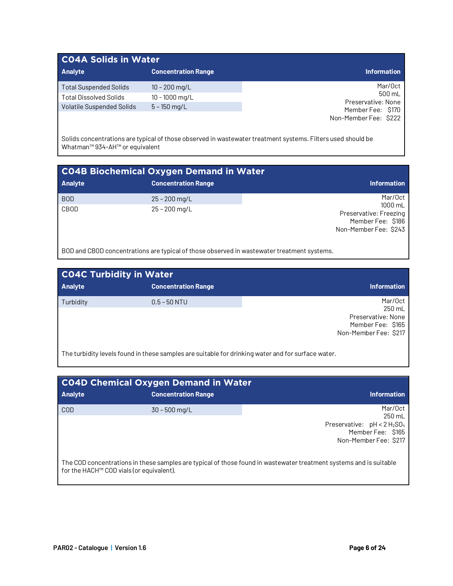#### **C04A Solids in Water**

| <b>Analyte</b>                   | Concentration Range | <b>Information</b>           |
|----------------------------------|---------------------|------------------------------|
| Total Suspended Solids           | $10 - 200$ mg/L     | Mar/Oct                      |
| <b>Total Dissolved Solids</b>    | $10 - 1000$ mg/L    | 500 mL<br>Preservative: None |
| <b>Volatile Suspended Solids</b> | $5 - 150$ mg/L      | Member Fee: \$170            |
|                                  |                     | Non-Member Fee: \$222        |

Solids concentrations are typical of those observed in wastewater treatment systems. Filters used should be Whatman™ 934-AH™ or equivalent

| <b>CO4B Biochemical Oxygen Demand in Water</b> |                            |                                                                                 |
|------------------------------------------------|----------------------------|---------------------------------------------------------------------------------|
| <b>Analyte</b>                                 | <b>Concentration Range</b> | <b>Information</b>                                                              |
| <b>BOD</b>                                     | $25 - 200$ mg/L            | Mar/Oct                                                                         |
| CBOD                                           | $25 - 200$ mg/L            | 1000 mL<br>Preservative: Freezing<br>Member Fee: \$186<br>Non-Member Fee: \$243 |

BOD and CBOD concentrations are typical of those observed in wastewater treatment systems.

| <b>CO4C Turbidity in Water</b> |                            |                                                                                       |
|--------------------------------|----------------------------|---------------------------------------------------------------------------------------|
| <b>Analyte</b>                 | <b>Concentration Range</b> | <b>Information</b>                                                                    |
| Turbidity                      | $0.5 - 50$ NTU             | Mar/Oct<br>250 mL<br>Preservative: None<br>Member Fee: \$165<br>Non-Member Fee: \$217 |

The turbidity levels found in these samples are suitable for drinking water and for surface water.

| <b>CO4D Chemical Oxygen Demand in Water</b>          |                            |                                                                                                                    |
|------------------------------------------------------|----------------------------|--------------------------------------------------------------------------------------------------------------------|
| <b>Analyte</b>                                       | <b>Concentration Range</b> | <b>Information</b>                                                                                                 |
| COD                                                  | $30 - 500$ mg/L            | Mar/Oct<br>250 mL<br>Preservative: $pH < 2 H_2SO_4$<br>Member Fee: \$165<br>Non-Member Fee: \$217                  |
| for the HACH <sup>™</sup> COD vials (or equivalent). |                            | The COD concentrations in these samples are typical of those found in wastewater treatment systems and is suitable |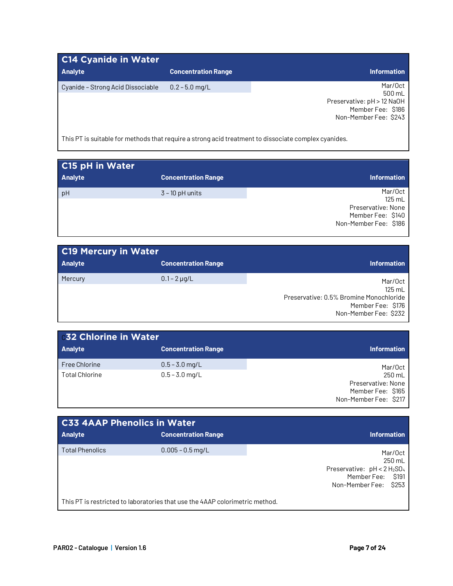| C14 Cyanide in Water                                                                                 |                            |                                                 |
|------------------------------------------------------------------------------------------------------|----------------------------|-------------------------------------------------|
| <b>Analyte</b>                                                                                       | <b>Concentration Range</b> | <b>Information</b>                              |
| Cyanide - Strong Acid Dissociable                                                                    | $0.2 - 5.0$ mg/L           | Mar/Oct<br>500 mL                               |
|                                                                                                      |                            | Preservative: pH > 12 NaOH<br>Member Fee: \$186 |
|                                                                                                      |                            | Non-Member Fee: \$243                           |
| This PT is suitable for methods that require a strong acid treatment to dissociate complex cyanides. |                            |                                                 |

| C <sub>15</sub> pH in Water |                            |                                                                                       |
|-----------------------------|----------------------------|---------------------------------------------------------------------------------------|
| <b>Analyte</b>              | <b>Concentration Range</b> | <b>Information</b>                                                                    |
| pH                          | $3 - 10$ pH units          | Mar/Oct<br>125 mL<br>Preservative: None<br>Member Fee: \$140<br>Non-Member Fee: \$186 |

| <b>C19 Mercury in Water</b> |                            |                                                                                                              |
|-----------------------------|----------------------------|--------------------------------------------------------------------------------------------------------------|
| <b>Analyte</b>              | <b>Concentration Range</b> | <b>Information</b>                                                                                           |
| Mercury                     | $0.1 - 2 \mu q/L$          | Mar/Oct<br>$125$ mL<br>Preservative: 0.5% Bromine Monochloride<br>Member Fee: \$176<br>Non-Member Fee: \$232 |

| <b>632 Chlorine in Water</b> |                            |                       |
|------------------------------|----------------------------|-----------------------|
| <b>Analyte</b>               | <b>Concentration Range</b> | <b>Information</b>    |
| <b>Free Chlorine</b>         | $0.5 - 3.0$ mg/L           | Mar/Oct               |
| <b>Total Chlorine</b>        | $0.5 - 3.0$ mg/L           | 250 mL                |
|                              |                            | Preservative: None    |
|                              |                            | Member Fee: \$165     |
|                              |                            | Non-Member Fee: \$217 |

| <b>C33 4AAP Phenolics in Water</b> |                                                                              |                                                                          |
|------------------------------------|------------------------------------------------------------------------------|--------------------------------------------------------------------------|
| Analyte                            | <b>Concentration Range</b>                                                   | Information                                                              |
| <b>Total Phenolics</b>             | $0.005 - 0.5$ mg/L                                                           | Mar/Oct<br>250 mL<br>Preservative: pH < 2 H <sub>2</sub> SO <sub>4</sub> |
|                                    |                                                                              | Member Fee: \$191<br>Non-Member Fee: \$253                               |
|                                    | This PT is restricted to laboratories that use the 4AAP colorimetric method. |                                                                          |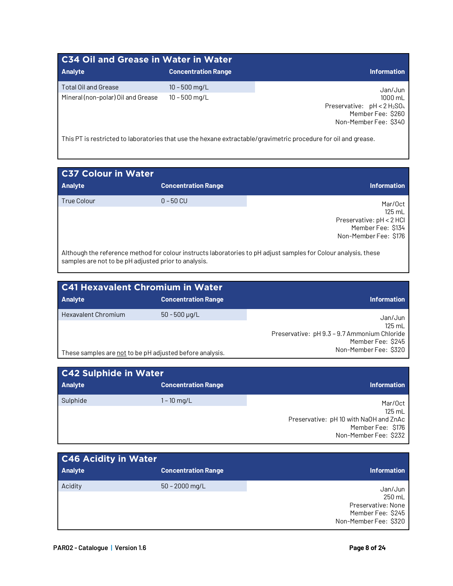| <b>C34 Oil and Grease in Water in Water</b>                |                                    |                                                                                                    |
|------------------------------------------------------------|------------------------------------|----------------------------------------------------------------------------------------------------|
| <b>Analyte</b>                                             | <b>Concentration Range</b>         | <b>Information</b>                                                                                 |
| Total Oil and Grease<br>Mineral (non-polar) Oil and Grease | $10 - 500$ mg/L<br>$10 - 500$ mg/L | Jan/Jun<br>1000 mL<br>Preservative: $pH < 2 H_2SO_4$<br>Member Fee: \$260<br>Non-Member Fee: \$340 |

This PT is restricted to laboratories that use the hexane extractable/gravimetric procedure for oil and grease.

| <b>C37 Colour in Water</b> |                            |                                                                                             |
|----------------------------|----------------------------|---------------------------------------------------------------------------------------------|
| <b>Analyte</b>             | <b>Concentration Range</b> | <b>Information</b>                                                                          |
| <b>True Colour</b>         | $0 - 50$ CU                | Mar/Oct<br>125 mL<br>Preservative: pH < 2 HCl<br>Member Fee: \$134<br>Non-Member Fee: \$176 |

Although the reference method for colour instructs laboratories to pH adjust samples for Colour analysis, these samples are not to be pH adjusted prior to analysis.

| <b>C41 Hexavalent Chromium in Water</b>                  |                            |                                              |
|----------------------------------------------------------|----------------------------|----------------------------------------------|
| <b>Analyte</b>                                           | <b>Concentration Range</b> | <b>Information</b>                           |
| <b>Hexavalent Chromium</b>                               | $50 - 500 \mu q/L$         | Jan/Jun                                      |
|                                                          |                            | 125 mL                                       |
|                                                          |                            | Preservative: pH 9.3 - 9.7 Ammonium Chloride |
|                                                          |                            | Member Fee: \$245                            |
| These samples are not to be pH adjusted before analysis. |                            | Non-Member Fee: \$320                        |

| <b>C42 Sulphide in Water</b> |                            |                                        |
|------------------------------|----------------------------|----------------------------------------|
| <b>Analyte</b>               | <b>Concentration Range</b> | <b>Information</b>                     |
| Sulphide                     | $1 - 10$ mg/L              | Mar/Oct                                |
|                              |                            | 125 mL                                 |
|                              |                            | Preservative: pH 10 with NaOH and ZnAc |
|                              |                            | Member Fee: \$176                      |
|                              |                            | Non-Member Fee: \$232                  |

| <b>C46 Acidity in Water</b> |                            |                                                                  |
|-----------------------------|----------------------------|------------------------------------------------------------------|
| <b>Analyte</b>              | <b>Concentration Range</b> | <b>Information</b>                                               |
| Acidity                     | $50 - 2000$ mg/L           | Jan/Jun<br>250 mL                                                |
|                             |                            | Preservative: None<br>Member Fee: \$245<br>Non-Member Fee: \$320 |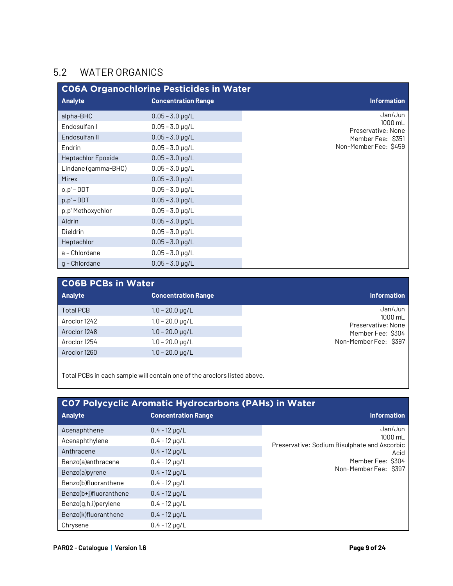#### 5.2 WATER ORGANICS

|                     | <b>CO6A Organochlorine Pesticides in Water</b> |                               |
|---------------------|------------------------------------------------|-------------------------------|
| <b>Analyte</b>      | <b>Concentration Range</b>                     | <b>Information</b>            |
| alpha-BHC           | $0.05 - 3.0 \,\mu q/L$                         | Jan/Jun                       |
| Endosulfan I        | $0.05 - 3.0 \,\mu g/L$                         | 1000 mL<br>Preservative: None |
| Endosulfan II       | $0.05 - 3.0 \,\mu g/L$                         | Member Fee: \$351             |
| Endrin              | $0.05 - 3.0 \,\mu g/L$                         | Non-Member Fee: \$459         |
| Heptachlor Epoxide  | $0.05 - 3.0 \,\mu g/L$                         |                               |
| Lindane (gamma-BHC) | $0.05 - 3.0 \,\mu g/L$                         |                               |
| <b>Mirex</b>        | $0.05 - 3.0 \,\mu g/L$                         |                               |
| $o, p' - DDT$       | $0.05 - 3.0 \,\mu g/L$                         |                               |
| $p, p'$ – DDT       | $0.05 - 3.0 \,\mu g/L$                         |                               |
| p,p' Methoxychlor   | $0.05 - 3.0 \,\mu g/L$                         |                               |
| Aldrin              | $0.05 - 3.0 \,\mu g/L$                         |                               |
| Dieldrin            | $0.05 - 3.0 \,\mu g/L$                         |                               |
| Heptachlor          | $0.05 - 3.0 \,\mu g/L$                         |                               |
| a - Chlordane       | $0.05 - 3.0 \,\mu g/L$                         |                               |
| g - Chlordane       | $0.05 - 3.0 \,\mu g/L$                         |                               |

| <b>CO6B PCBs in Water</b> |                            |                               |
|---------------------------|----------------------------|-------------------------------|
| <b>Analyte</b>            | <b>Concentration Range</b> | <b>Information</b>            |
| <b>Total PCB</b>          | $1.0 - 20.0 \,\mu q/L$     | Jan/Jun                       |
| Aroclor 1242              | $1.0 - 20.0 \mu q/L$       | 1000 mL<br>Preservative: None |
| Aroclor 1248              | $1.0 - 20.0 \,\mu g/L$     | Member Fee: \$304             |
| Aroclor 1254              | $1.0 - 20.0 \mu q/L$       | Non-Member Fee: \$397         |
| Aroclor 1260              | $1.0 - 20.0 \mu q/L$       |                               |
|                           |                            |                               |

Total PCBs in each sample will contain one of the aroclors listed above.

| <b>CO7 Polycyclic Aromatic Hydrocarbons (PAHs) in Water</b> |                            |                                                         |
|-------------------------------------------------------------|----------------------------|---------------------------------------------------------|
| <b>Analyte</b>                                              | <b>Concentration Range</b> | <b>Information</b>                                      |
| Acenaphthene                                                | $0.4 - 12 \mu g/L$         | Jan/Jun                                                 |
| Acenaphthylene                                              | $0.4 - 12 \mu g/L$         | 1000 mL<br>Preservative: Sodium Bisulphate and Ascorbic |
| Anthracene                                                  | $0.4 - 12 \mu q/L$         | Acid                                                    |
| Benzo(a)anthracene                                          | $0.4 - 12 \mu q/L$         | Member Fee: \$304                                       |
| Benzo(a)pyrene                                              | $0.4 - 12 \mu g/L$         | Non-Member Fee: \$397                                   |
| Benzo(b)fluoranthene                                        | $0.4 - 12 \mu g/L$         |                                                         |
| Benzo(b+j)fluoranthene                                      | $0.4 - 12 \mu g/L$         |                                                         |
| Benzo(g,h,i)perylene                                        | $0.4 - 12 \mu g/L$         |                                                         |
| Benzo(k)fluoranthene                                        | $0.4 - 12 \mu g/L$         |                                                         |
| Chrysene                                                    | $0.4 - 12 \mu q/L$         |                                                         |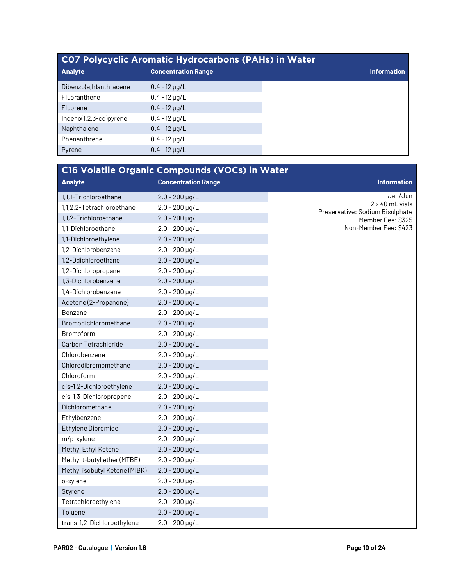| <b>CO7 Polycyclic Aromatic Hydrocarbons (PAHs) in Water</b> |                            |                    |
|-------------------------------------------------------------|----------------------------|--------------------|
| <b>Analyte</b>                                              | <b>Concentration Range</b> | <b>Information</b> |
| Dibenzo(a,h)anthracene                                      | $0.4 - 12 \mu q/L$         |                    |
| Fluoranthene                                                | $0.4 - 12 \mu g/L$         |                    |
| Fluorene                                                    | $0.4 - 12 \mu q/L$         |                    |
| Indeno(1,2,3-cd)pyrene                                      | $0.4 - 12 \mu q/L$         |                    |
| Naphthalene                                                 | $0.4 - 12 \mu g/L$         |                    |
| Phenanthrene                                                | $0.4 - 12 \mu g/L$         |                    |
| Pyrene                                                      | $0.4 - 12 \mu q/L$         |                    |

| C16 Volatile Organic Compounds (VOCs) in Water |                            |                                                           |
|------------------------------------------------|----------------------------|-----------------------------------------------------------|
| <b>Analyte</b>                                 | <b>Concentration Range</b> | <b>Information</b>                                        |
| 1,1,1-Trichloroethane                          | $2.0 - 200$ µg/L           | Jan/Jun                                                   |
| 1,1,2,2-Tetrachloroethane                      | $2.0 - 200$ µg/L           | $2 \times 40$ mL vials<br>Preservative: Sodium Bisulphate |
| 1,1,2-Trichloroethane                          | $2.0 - 200$ µg/L           | Member Fee: \$325                                         |
| 1,1-Dichloroethane                             | $2.0 - 200$ µg/L           | Non-Member Fee: \$423                                     |
| 1,1-Dichloroethylene                           | $2.0 - 200$ µg/L           |                                                           |
| 1,2-Dichlorobenzene                            | $2.0 - 200$ µg/L           |                                                           |
| 1,2-Ddichloroethane                            | $2.0 - 200 \,\mu g/L$      |                                                           |
| 1,2-Dichloropropane                            | $2.0 - 200$ µg/L           |                                                           |
| 1,3-Dichlorobenzene                            | $2.0 - 200$ µg/L           |                                                           |
| 1,4-Dichlorobenzene                            | $2.0 - 200$ µg/L           |                                                           |
| Acetone (2-Propanone)                          | $2.0 - 200 \,\mu g/L$      |                                                           |
| Benzene                                        | $2.0 - 200$ µg/L           |                                                           |
| Bromodichloromethane                           | $2.0 - 200$ µg/L           |                                                           |
| Bromoform                                      | $2.0 - 200 \mu g/L$        |                                                           |
| Carbon Tetrachloride                           | $2.0 - 200$ µg/L           |                                                           |
| Chlorobenzene                                  | $2.0 - 200 \mu g/L$        |                                                           |
| Chlorodibromomethane                           | $2.0 - 200 \,\mu g/L$      |                                                           |
| Chloroform                                     | $2.0 - 200$ µg/L           |                                                           |
| cis-1,2-Dichloroethylene                       | $2.0 - 200$ µg/L           |                                                           |
| cis-1,3-Dichloropropene                        | $2.0 - 200$ µg/L           |                                                           |
| Dichloromethane                                | $2.0 - 200$ µg/L           |                                                           |
| Ethylbenzene                                   | $2.0 - 200$ µg/L           |                                                           |
| Ethylene Dibromide                             | $2.0 - 200 \,\mu$ g/L      |                                                           |
| m/p-xylene                                     | $2.0 - 200$ µg/L           |                                                           |
| Methyl Ethyl Ketone                            | $2.0 - 200$ µg/L           |                                                           |
| Methyl t-butyl ether (MTBE)                    | $2.0 - 200$ µg/L           |                                                           |
| Methyl isobutyl Ketone (MIBK)                  | $2.0 - 200$ µg/L           |                                                           |
| o-xylene                                       | $2.0 - 200$ µg/L           |                                                           |
| Styrene                                        | $2.0 - 200$ µg/L           |                                                           |
| Tetrachloroethylene                            | $2.0 - 200$ µg/L           |                                                           |
| Toluene                                        | $2.0 - 200$ µg/L           |                                                           |
| trans-1,2-Dichloroethylene                     | $2.0 - 200$ µg/L           |                                                           |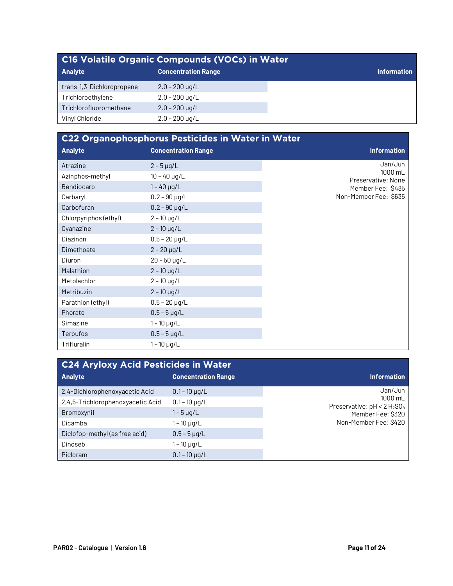| C <sub>16</sub> Volatile Organic Compounds (VOCs) in Water |                            |                    |
|------------------------------------------------------------|----------------------------|--------------------|
| <b>Analyte</b>                                             | <b>Concentration Range</b> | <b>Information</b> |
| trans-1,3-Dichloropropene                                  | $2.0 - 200 \mu q/L$        |                    |
| Trichloroethylene                                          | $2.0 - 200 \mu q/L$        |                    |
| Trichlorofluoromethane                                     | $2.0 - 200$ µg/L           |                    |
| Vinyl Chloride                                             | $2.0 - 200 \mu g/L$        |                    |

| C22 Organophosphorus Pesticides in Water in Water |                            |                               |
|---------------------------------------------------|----------------------------|-------------------------------|
| <b>Analyte</b>                                    | <b>Concentration Range</b> | <b>Information</b>            |
| Atrazine                                          | $2 - 5 \mu g/L$            | Jan/Jun                       |
| Azinphos-methyl                                   | $10 - 40$ µg/L             | 1000 mL<br>Preservative: None |
| Bendiocarb                                        | $1 - 40$ µg/L              | Member Fee: \$485             |
| Carbaryl                                          | $0.2 - 90$ µg/L            | Non-Member Fee: \$635         |
| Carbofuran                                        | $0.2 - 90 \,\mu g/L$       |                               |
| Chlorpyriphos (ethyl)                             | $2 - 10$ µg/L              |                               |
| Cyanazine                                         | $2 - 10$ µg/L              |                               |
| Diazinon                                          | $0.5 - 20 \mu g/L$         |                               |
| Dimethoate                                        | $2 - 20 \mu g/L$           |                               |
| Diuron                                            | $20 - 50$ µg/L             |                               |
| Malathion                                         | $2 - 10$ µg/L              |                               |
| Metolachlor                                       | $2 - 10$ µg/L              |                               |
| <b>Metribuzin</b>                                 | $2 - 10$ µg/L              |                               |
| Parathion (ethyl)                                 | $0.5 - 20 \mu g/L$         |                               |
| Phorate                                           | $0.5 - 5 \,\mu$ g/L        |                               |
| Simazine                                          | $1 - 10$ µg/L              |                               |
| Terbufos                                          | $0.5 - 5 \mu g/L$          |                               |
| Trifluralin                                       | $1 - 10 \mu g/L$           |                               |

| C24 Aryloxy Acid Pesticides in Water |                            |                                           |
|--------------------------------------|----------------------------|-------------------------------------------|
| <b>Analyte</b>                       | <b>Concentration Range</b> | <b>Information</b>                        |
| 2,4-Dichlorophenoxyacetic Acid       | $0.1 - 10$ µg/L            | Jan/Jun                                   |
| 2,4,5-Trichlorophenoxyacetic Acid    | $0.1 - 10 \mu q/L$         | 1000 mL<br>Preservative: $pH < 2 H_2SO_4$ |
| Bromoxynil                           | 1 – 5 µg/L                 | Member Fee: \$320                         |
| Dicamba                              | 1 – 10 µg/L                | Non-Member Fee: \$420                     |
| Diclofop-methyl (as free acid)       | $0.5 - 5 \mu g/L$          |                                           |
| Dinoseb                              | 1 – 10 µg/L                |                                           |
| Picloram                             | $0.1 - 10 \mu q/L$         |                                           |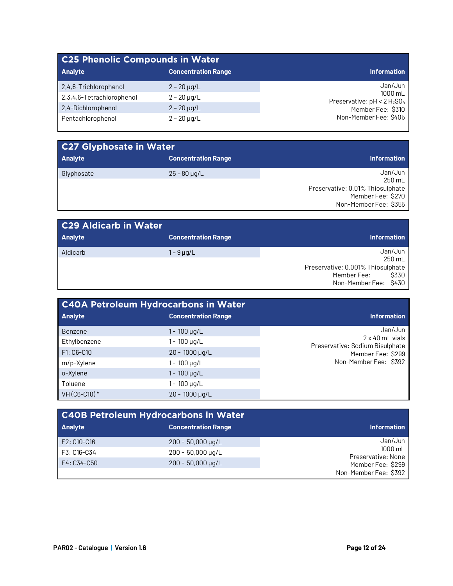| <b>C25 Phenolic Compounds in Water</b> |                            |                                           |
|----------------------------------------|----------------------------|-------------------------------------------|
| <b>Analyte</b>                         | <b>Concentration Range</b> | <b>Information</b>                        |
| 2,4,6-Trichlorophenol                  | $2 - 20 \mu q/L$           | Jan/Jun                                   |
| 2,3,4,6-Tetrachlorophenol              | $2 - 20 \mu g/L$           | 1000 mL<br>Preservative: $pH < 2 H_2SO_4$ |
| 2,4-Dichlorophenol                     | $2 - 20 \mu g/L$           | Member Fee: \$310                         |
| Pentachlorophenol                      | $2 - 20 \mu q/L$           | Non-Member Fee: \$405                     |

| <b>C27 Glyphosate in Water</b> |                            |                                                                                                     |
|--------------------------------|----------------------------|-----------------------------------------------------------------------------------------------------|
| <b>Analyte</b>                 | <b>Concentration Range</b> | <b>Information</b>                                                                                  |
| Glyphosate                     | $25 - 80 \mu q/L$          | Jan/Jun<br>250 mL<br>Preservative: 0.01% Thiosulphate<br>Member Fee: \$270<br>Non-Member Fee: \$355 |

| <b>C29 Aldicarb in Water</b> |                            |                                                                                                        |
|------------------------------|----------------------------|--------------------------------------------------------------------------------------------------------|
| Analyte                      | <b>Concentration Range</b> | <b>Information</b>                                                                                     |
| Aldicarb                     | 1 – 9 µg/L                 | Jan/Jun<br>250 mL<br>Preservative: 0.001% Thiosulphate<br>Member Fee:<br>S330<br>Non-Member Fee: \$430 |

| <b>C40A Petroleum Hydrocarbons in Water</b> |                            |                                                    |
|---------------------------------------------|----------------------------|----------------------------------------------------|
| <b>Analyte</b>                              | <b>Concentration Range</b> | <b>Information</b>                                 |
| Benzene                                     | 1 - 100 µg/L               | Jan/Jun                                            |
| Ethylbenzene                                | l - 100 µg/L               | 2 x 40 mL vials<br>Preservative: Sodium Bisulphate |
| F1: C6-C10                                  | $20 - 1000 \,\mu g/L$      | Member Fee: \$299                                  |
| m/p-Xylene                                  | l - 100 µg/L               | Non-Member Fee: \$392                              |
| o-Xylene                                    | 1 - 100 µg/L               |                                                    |
| Toluene                                     | i - 100 µg/L               |                                                    |
| VH (C6-C10)*                                | $20 - 1000 \mu q/L$        |                                                    |

| <b>C40B Petroleum Hydrocarbons in Water</b> |                            |                               |
|---------------------------------------------|----------------------------|-------------------------------|
| Analyte                                     | <b>Concentration Range</b> | <b>Information</b>            |
| F2: C10-C16                                 | $200 - 50,000 \mu g/L$     | Jan/Jun                       |
| F3: C16-C34                                 | $200 - 50,000 \mu q/L$     | 1000 mL<br>Preservative: None |
| F4: C34-C50                                 | $200 - 50,000 \mu q/L$     | Member Fee: \$299             |
|                                             |                            | Non-Member Fee: \$392         |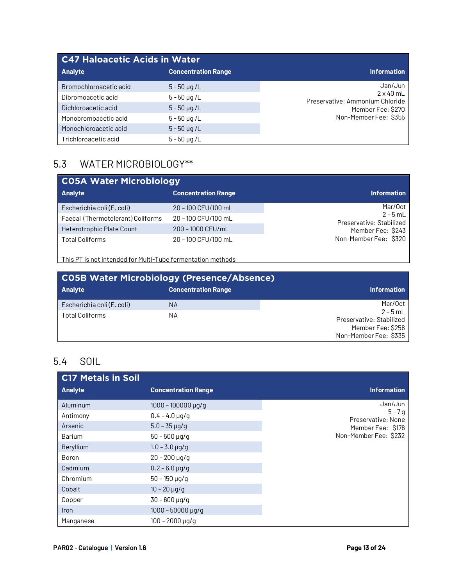| <b>C47 Haloacetic Acids in Water</b> |                            |                                                     |
|--------------------------------------|----------------------------|-----------------------------------------------------|
| <b>Analyte</b>                       | <b>Concentration Range</b> | <b>Information</b>                                  |
| Bromochloroacetic acid               | $5 - 50 \mu q / L$         | Jan/Jun                                             |
| Dibromoacetic acid                   | $5 - 50 \mu g/L$           | $2 \times 40$ mL<br>Preservative: Ammonium Chloride |
| Dichloroacetic acid                  | $5 - 50 \mu g/L$           | Member Fee: \$270                                   |
| Monobromoacetic acid                 | $5 - 50 \mu q/L$           | Non-Member Fee: \$355                               |
| Monochloroacetic acid                | $5 - 50 \mu g/L$           |                                                     |
| Trichloroacetic acid                 | $5 - 50 \mu q/L$           |                                                     |

#### 5.3 WATER MICROBIOLOGY\*\*

| <b>CO5A Water Microbiology</b>    |                            |                                        |
|-----------------------------------|----------------------------|----------------------------------------|
| <b>Analyte</b>                    | <b>Concentration Range</b> | <b>Information</b>                     |
| Escherichia coli (E. coli)        | 20 - 100 CFU/100 mL        | Mar/Oct                                |
| Faecal (Thermotolerant) Coliforms | 20 - 100 CFU/100 mL        | $2 - 5$ mL<br>Preservative: Stabilized |
| Heterotrophic Plate Count         | 200 - 1000 CFU/mL          | Member Fee: \$243                      |
| <b>Total Coliforms</b>            | 20 - 100 CFU/100 mL        | Non-Member Fee: \$320                  |

This PT is not intended for Multi-Tube fermentation methods

| <b>CO5B Water Microbiology (Presence/Absence)</b> |                            |                                                             |
|---------------------------------------------------|----------------------------|-------------------------------------------------------------|
| <b>Analyte</b>                                    | <b>Concentration Range</b> | <b>Information</b>                                          |
| Escherichia coli (E. coli)                        | NА                         | Mar/Oct                                                     |
| Total Coliforms                                   | NΑ                         | $2 - 5$ mL<br>Preservative: Stabilized<br>Member Fee: \$258 |
|                                                   |                            | Non-Member Fee: \$335                                       |

#### 5.4 SOIL

| <b>C17 Metals in Soil</b> |                            |                                |
|---------------------------|----------------------------|--------------------------------|
| <b>Analyte</b>            | <b>Concentration Range</b> | <b>Information</b>             |
| Aluminum                  | $1000 - 100000 \mu q/q$    | Jan/Jun                        |
| Antimony                  | $0.4 - 4.0 \,\mu g/g$      | $5 - 7g$<br>Preservative: None |
| Arsenic                   | $5.0 - 35 \,\mu g/g$       | Member Fee: \$176              |
| Barium                    | $50 - 500 \,\mu g/g$       | Non-Member Fee: \$232          |
| Beryllium                 | $1.0 - 3.0$ µg/g           |                                |
| Boron                     | $20 - 200 \mu g/g$         |                                |
| Cadmium                   | $0.2 - 6.0 \,\mu$ g/g      |                                |
| Chromium                  | $50 - 150 \mu g/g$         |                                |
| Cobalt                    | $10 - 20$ µg/g             |                                |
| Copper                    | $30 - 600 \,\mu$ g/g       |                                |
| <i>Iron</i>               | $1000 - 50000 \,\mu g/g$   |                                |
| Manganese                 | $100 - 2000 \mu q/q$       |                                |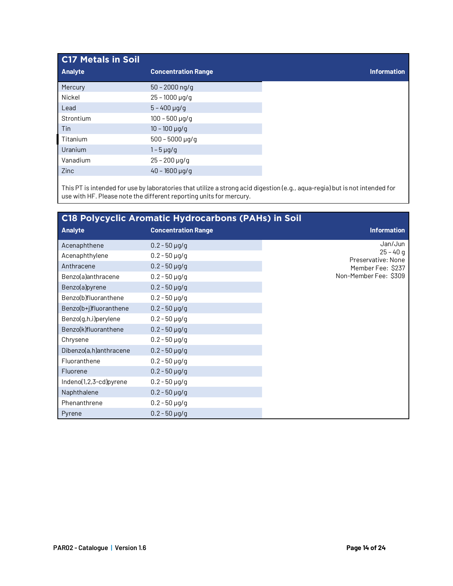| <b>C17 Metals in Soil</b> |                            |
|---------------------------|----------------------------|
| <b>Analyte</b>            | <b>Concentration Range</b> |
| Mercury                   | $50 - 2000$ ng/g           |
| Nickel                    | $25 - 1000 \,\mu g/g$      |
| Lead                      | $5 - 400$ µg/g             |
| Strontium                 | $100 - 500 \mu g/g$        |
| Tin                       | $10 - 100$ µg/g            |
| Titanium                  | $500 - 5000 \,\mu g/g$     |
| Uranium                   | $1 - 5 \mu q/q$            |
| Vanadium                  | $25 - 200 \,\mu g/g$       |
| Zinc                      | $40 - 1600 \,\mu g/g$      |

This PT is intended for use by laboratories that utilize a strong acid digestion (e.g., aqua-regia) but is not intended for use with HF. Please note the different reporting units for mercury.

| <b>C18 Polycyclic Aromatic Hydrocarbons (PAHs) in Soil</b> |                            |                                  |
|------------------------------------------------------------|----------------------------|----------------------------------|
| <b>Analyte</b>                                             | <b>Concentration Range</b> | <b>Information</b>               |
| Acenaphthene                                               | $0.2 - 50 \,\mu g/g$       | Jan/Jun                          |
| Acenaphthylene                                             | $0.2 - 50 \,\mu$ g/g       | $25 - 40q$<br>Preservative: None |
| Anthracene                                                 | $0.2 - 50 \,\mu g/g$       | Member Fee: \$237                |
| Benzo(a)anthracene                                         | $0.2 - 50 \,\mu g/g$       | Non-Member Fee: \$309            |
| Benzo(a)pyrene                                             | $0.2 - 50 \,\mu g/g$       |                                  |
| Benzo(b)fluoranthene                                       | $0.2 - 50 \,\mu g/g$       |                                  |
| Benzo(b+j)fluoranthene                                     | $0.2 - 50 \,\mu g/g$       |                                  |
| Benzo(g,h,i)perylene                                       | $0.2 - 50 \,\mu$ g/g       |                                  |
| Benzo(k)fluoranthene                                       | $0.2 - 50 \,\mu$ g/g       |                                  |
| Chrysene                                                   | $0.2 - 50 \,\mu$ g/g       |                                  |
| Dibenzo(a,h)anthracene                                     | $0.2 - 50 \,\mu g/g$       |                                  |
| Fluoranthene                                               | $0.2 - 50 \,\mu$ g/g       |                                  |
| Fluorene                                                   | $0.2 - 50 \,\mu g/g$       |                                  |
| Indeno(1,2,3-cd)pyrene                                     | $0.2 - 50 \,\mu$ g/g       |                                  |
| Naphthalene                                                | $0.2 - 50 \,\mu g/g$       |                                  |
| Phenanthrene                                               | $0.2 - 50 \,\mu g/g$       |                                  |
| Pyrene                                                     | $0.2 - 50 \,\mu$ g/g       |                                  |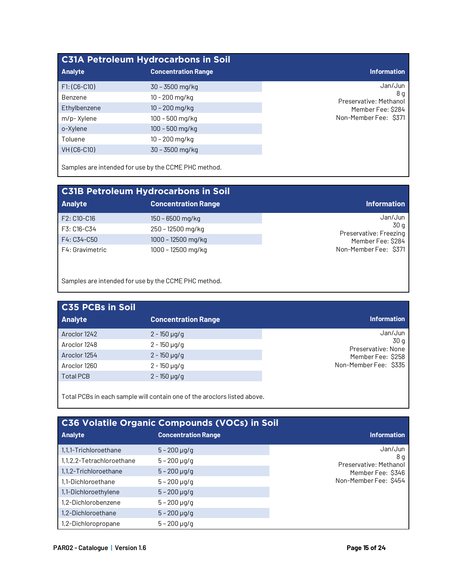| <b>C31A Petroleum Hydrocarbons in Soil</b> |                            |                               |
|--------------------------------------------|----------------------------|-------------------------------|
| <b>Analyte</b>                             | <b>Concentration Range</b> | <b>Information</b>            |
| $F1: (C6-C10)$                             | $30 - 3500$ mg/kg          | Jan/Jun                       |
| Benzene                                    | 10 - 200 mg/kg             | 8 a<br>Preservative: Methanol |
| Ethylbenzene                               | $10 - 200$ mg/kg           | Member Fee: \$284             |
| m/p-Xylene                                 | 100 - 500 mg/kg            | Non-Member Fee: \$371         |
| o-Xylene                                   | $100 - 500$ mg/kg          |                               |
| Toluene                                    | 10 – 200 mg/kg             |                               |
| VH (C6-C10)                                | 30 - 3500 mg/kg            |                               |

Samples are intended for use by the CCME PHC method.

| <b>C31B Petroleum Hydrocarbons in Soil</b> |                            |                                |
|--------------------------------------------|----------------------------|--------------------------------|
| <b>Analyte</b>                             | <b>Concentration Range</b> | <b>Information</b>             |
| F2: C10-C16                                | $150 - 6500$ mg/kg         | Jan/Jun                        |
| F3: C16-C34                                | 250 - 12500 mg/kg          | 30 a<br>Preservative: Freezing |
| F4: C34-C50                                | 1000 - 12500 mg/kg         | Member Fee: \$284              |
| F4: Gravimetric                            | 1000 - 12500 mg/kg         | Non-Member Fee: \$371          |

Samples are intended for use by the CCME PHC method.

| <b>C35 PCBs in Soil</b> |                            |                            |
|-------------------------|----------------------------|----------------------------|
| <b>Analyte</b>          | <b>Concentration Range</b> | <b>Information</b>         |
| Aroclor 1242            | $2 - 150 \mu q/q$          | Jan/Jun                    |
| Aroclor 1248            | $2 - 150 \mu g/g$          | 30 g<br>Preservative: None |
| Aroclor 1254            | $2 - 150 \mu g/g$          | Member Fee: \$258          |
| Aroclor 1260            | 2 - 150 µg/g               | Non-Member Fee: \$335      |
| <b>Total PCB</b>        | $2 - 150 \mu g/g$          |                            |

Total PCBs in each sample will contain one of the aroclors listed above.

| <b>C36 Volatile Organic Compounds (VOCs) in Soil</b> |                            |                               |  |
|------------------------------------------------------|----------------------------|-------------------------------|--|
| <b>Analyte</b>                                       | <b>Concentration Range</b> | <b>Information</b>            |  |
| 1.1.1-Trichloroethane                                | $5 - 200$ µg/g             | Jan/Jun                       |  |
| 1,1,2,2-Tetrachloroethane                            | $5 - 200 \,\mu g/g$        | 8 g<br>Preservative: Methanol |  |
| 1,1,2-Trichloroethane                                | $5 - 200 \mu q/q$          | Member Fee: \$346             |  |
| 1.1-Dichloroethane                                   | $5 - 200 \,\mu g/g$        | Non-Member Fee: \$454         |  |
| 1,1-Dichloroethylene                                 | $5 - 200 \mu q/q$          |                               |  |
| 1.2-Dichlorobenzene                                  | $5 - 200 \mu q/q$          |                               |  |
| 1.2-Dichloroethane                                   | $5 - 200 \mu q/q$          |                               |  |
| 1,2-Dichloropropane                                  | $5 - 200 \mu q/q$          |                               |  |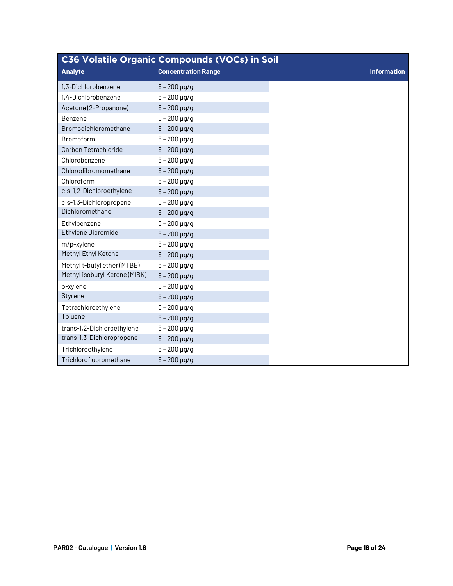|                               | <b>C36 Volatile Organic Compounds (VOCs) in Soil</b> |
|-------------------------------|------------------------------------------------------|
| <b>Analyte</b>                | <b>Concentration Range</b>                           |
| 1.3-Dichlorobenzene           | $5 - 200$ µg/g                                       |
| 1,4-Dichlorobenzene           | $5 - 200$ $\mu$ g/g                                  |
| Acetone (2-Propanone)         | $5 - 200$ µg/g                                       |
| Benzene                       | $5 - 200 \mu g/g$                                    |
| Bromodichloromethane          | $5 - 200$ $\mu$ g/g                                  |
| Bromoform                     | $5 - 200$ µg/g                                       |
| <b>Carbon Tetrachloride</b>   | $5 - 200$ µg/g                                       |
| Chlorobenzene                 | $5 - 200 \mu g/g$                                    |
| Chlorodibromomethane          | $5 - 200$ µg/g                                       |
| Chloroform                    | $5 - 200$ µg/g                                       |
| cis-1,2-Dichloroethylene      | $5 - 200 \mu g/g$                                    |
| cis-1,3-Dichloropropene       | $5 - 200$ µg/g                                       |
| Dichloromethane               | $5 - 200$ µg/g                                       |
| Ethylbenzene                  | $5 - 200 \mu g/g$                                    |
| Ethylene Dibromide            | $5 - 200$ µg/g                                       |
| m/p-xylene                    | $5 - 200 \mu g/g$                                    |
| Methyl Ethyl Ketone           | $5 - 200$ µg/g                                       |
| Methyl t-butyl ether (MTBE)   | $5 - 200$ $\mu$ g/g                                  |
| Methyl isobutyl Ketone (MIBK) | $5 - 200$ µg/g                                       |
| o-xylene                      | $5 - 200$ $\mu$ g/g                                  |
| Styrene                       | $5 - 200$ µg/g                                       |
| Tetrachloroethylene           | $5 - 200$ µg/g                                       |
| Toluene                       | $5 - 200 \mu g/g$                                    |
| trans-1,2-Dichloroethylene    | $5 - 200 \,\mu$ g/g                                  |
| trans-1,3-Dichloropropene     | $5 - 200$ $\mu$ g/g                                  |
| Trichloroethylene             | $5 - 200 \mu g/g$                                    |
| Trichlorofluoromethane        | $5 - 200$ µg/g                                       |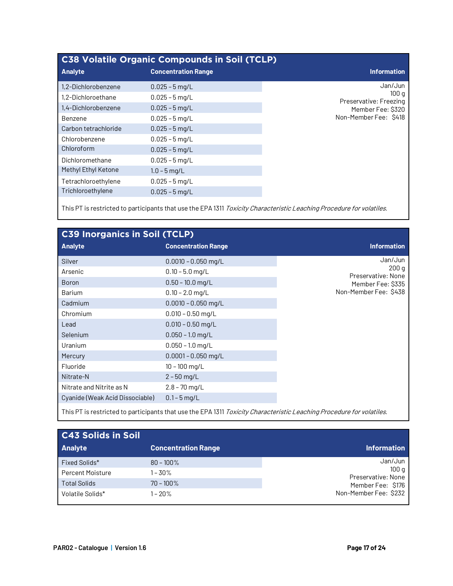| <b>C38 Volatile Organic Compounds in Soil (TCLP)</b> |                            |                                |  |
|------------------------------------------------------|----------------------------|--------------------------------|--|
| <b>Analyte</b>                                       | <b>Concentration Range</b> | <b>Information</b>             |  |
| 1,2-Dichlorobenzene                                  | $0.025 - 5$ mg/L           | Jan/Jun                        |  |
| 1,2-Dichloroethane                                   | $0.025 - 5$ mg/L           | 100q<br>Preservative: Freezing |  |
| 1,4-Dichlorobenzene                                  | $0.025 - 5$ mg/L           | Member Fee: \$320              |  |
| Benzene                                              | $0.025 - 5$ mg/L           | Non-Member Fee: \$418          |  |
| Carbon tetrachloride                                 | $0.025 - 5$ mg/L           |                                |  |
| Chlorobenzene                                        | $0.025 - 5$ mg/L           |                                |  |
| Chloroform                                           | $0.025 - 5$ mg/L           |                                |  |
| Dichloromethane                                      | $0.025 - 5$ mg/L           |                                |  |
| Methyl Ethyl Ketone                                  | $1.0 - 5$ mg/L             |                                |  |
| Tetrachloroethylene                                  | $0.025 - 5$ mg/L           |                                |  |
| Trichloroethylene                                    | $0.025 - 5$ mg/L           |                                |  |
|                                                      |                            |                                |  |

This PT is restricted to participants that use the EPA 1311 Toxicity Characteristic Leaching Procedure for volatiles.

| <b>C39 Inorganics in Soil (TCLP)</b> |                            |
|--------------------------------------|----------------------------|
| <b>Analyte</b>                       | <b>Concentration Range</b> |
| Silver                               | $0.0010 - 0.050$ mg/L      |
| Arsenic                              | $0.10 - 5.0$ mg/L          |
| <b>Boron</b>                         | $0.50 - 10.0$ mg/L         |
| <b>Barium</b>                        | $0.10 - 2.0$ mg/L          |
| Cadmium                              | $0.0010 - 0.050$ mg/L      |
| Chromium                             | $0.010 - 0.50$ mg/L        |
| Lead                                 | $0.010 - 0.50$ mg/L        |
| <b>Selenium</b>                      | $0.050 - 1.0$ mg/L         |
| Uranium                              | $0.050 - 1.0$ mg/L         |
| Mercury                              | $0.0001 - 0.050$ mg/L      |
| Fluoride                             | $10 - 100$ mg/L            |
| Nitrate-N                            | $2 - 50$ mg/L              |
| Nitrate and Nitrite as N             | $2.8 - 70$ mg/L            |
| Cyanide (Weak Acid Dissociable)      | $0.1 - 5$ mg/L             |
|                                      |                            |

| This PT is restricted to participants that use the EPA 1311 Toxicity Characteristic Leaching Procedure for volatiles. |  |  |  |
|-----------------------------------------------------------------------------------------------------------------------|--|--|--|
|-----------------------------------------------------------------------------------------------------------------------|--|--|--|

| C43 Solids in Soil      |                            |                            |
|-------------------------|----------------------------|----------------------------|
| <b>Analyte</b>          | <b>Concentration Range</b> | <b>Information</b>         |
| Fixed Solids*           | $80 - 100\%$               | Jan/Jun                    |
| <b>Percent Moisture</b> | $1 - 30\%$                 | 100q<br>Preservative: None |
| <b>Total Solids</b>     | $70 - 100\%$               | Member Fee: \$176          |
| Volatile Solids*        | $1 - 20%$                  | Non-Member Fee: \$232      |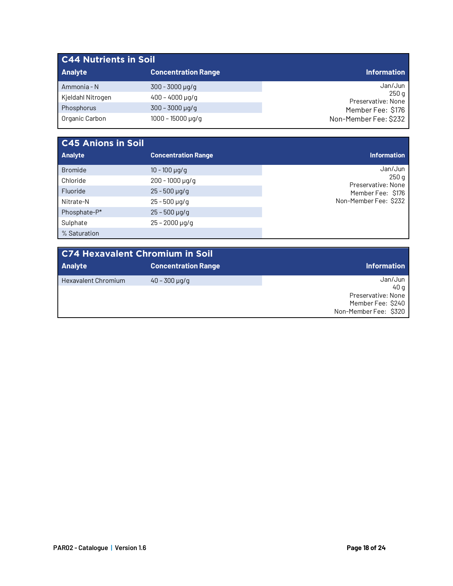| <b>C44 Nutrients in Soil</b> |                            |                             |  |
|------------------------------|----------------------------|-----------------------------|--|
| <b>Analyte</b>               | <b>Concentration Range</b> | <b>Information</b>          |  |
| Ammonia - N                  | $300 - 3000 \mu q/q$       | Jan/Jun                     |  |
| Kjeldahl Nitrogen            | $400 - 4000 \mu q/q$       | 250 g<br>Preservative: None |  |
| Phosphorus                   | $300 - 3000 \,\mu g/g$     | Member Fee: \$176           |  |
| Organic Carbon               | $1000 - 15000 \mu q/q$     | Non-Member Fee: \$232       |  |

| <b>C45 Anions in Soil</b> |                            |                            |
|---------------------------|----------------------------|----------------------------|
| Analyte                   | <b>Concentration Range</b> | <b>Information</b>         |
| <b>Bromide</b>            | $10 - 100 \mu q/q$         | Jan/Jun                    |
| Chloride                  | $200 - 1000 \mu q/q$       | 250q<br>Preservative: None |
| Fluoride                  | $25 - 500 \mu q/q$         | Member Fee: \$176          |
| Nitrate-N                 | $25 - 500 \mu q/q$         | Non-Member Fee: \$232      |
| Phosphate-P*              | $25 - 500 \mu q/q$         |                            |
| Sulphate                  | $25 - 2000 \,\mu g/g$      |                            |
| % Saturation              |                            |                            |

| <b>C74 Hexavalent Chromium in Soil</b> |                            |                                                                                     |  |
|----------------------------------------|----------------------------|-------------------------------------------------------------------------------------|--|
| <b>Analyte</b>                         | <b>Concentration Range</b> | Information                                                                         |  |
| <b>Hexavalent Chromium</b>             | $40 - 300 \mu q/q$         | Jan/Jun<br>40 a<br>Preservative: None<br>Member Fee: \$240<br>Non-Member Fee: \$320 |  |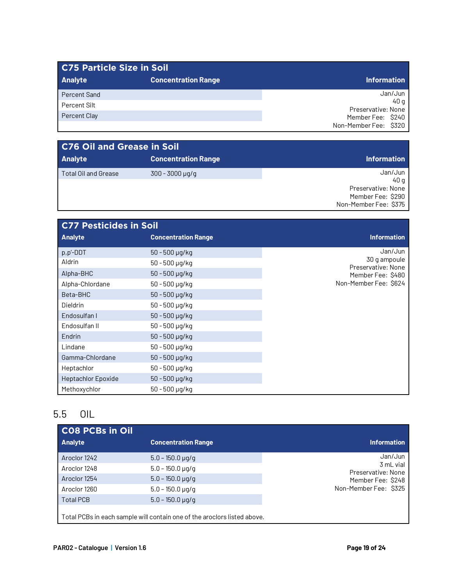| C75 Particle Size in Soil |                            |                            |
|---------------------------|----------------------------|----------------------------|
| <b>Analyte</b>            | <b>Concentration Range</b> | <b>Information</b>         |
| Percent Sand              |                            | Jan/Jun                    |
| Percent Silt              |                            | 40 a<br>Preservative: None |
| <b>Percent Clay</b>       |                            | Member Fee: \$240          |
|                           |                            | Non-Member Fee: \$320      |

| <b>C76 Oil and Grease in Soil</b> |                            |                            |  |
|-----------------------------------|----------------------------|----------------------------|--|
| <b>Analyte</b>                    | <b>Concentration Range</b> | Information                |  |
| <b>Total Oil and Grease</b>       | $300 - 3000 \mu q/q$       | Jan/Jun                    |  |
|                                   |                            | 40 a<br>Preservative: None |  |
|                                   |                            | Member Fee: \$290          |  |
|                                   |                            |                            |  |
|                                   |                            | Non-Member Fee: \$375      |  |

| <b>C77 Pesticides in Soil</b> |                            |                                    |
|-------------------------------|----------------------------|------------------------------------|
| <b>Analyte</b>                | <b>Concentration Range</b> | <b>Information</b>                 |
| p,p'-DDT                      | 50 - 500 µg/kg             | Jan/Jun                            |
| Aldrin                        | 50 - 500 µg/kg             | 30 g ampoule<br>Preservative: None |
| Alpha-BHC                     | 50 - 500 µg/kg             | Member Fee: \$480                  |
| Alpha-Chlordane               | $50 - 500 \mu g/kg$        | Non-Member Fee: \$624              |
| Beta-BHC                      | $50 - 500$ µg/kg           |                                    |
| <b>Dieldrin</b>               | 50 - 500 µg/kg             |                                    |
| Endosulfan I                  | 50 - 500 µg/kg             |                                    |
| Endosulfan II                 | 50 - 500 µg/kg             |                                    |
| Endrin                        | 50 - 500 µg/kg             |                                    |
| Lindane                       | 50 - 500 µg/kg             |                                    |
| Gamma-Chlordane               | 50 - 500 µg/kg             |                                    |
| Heptachlor                    | 50 - 500 µg/kg             |                                    |
| <b>Heptachlor Epoxide</b>     | 50 - 500 µg/kg             |                                    |
| Methoxychlor                  | 50 - 500 µg/kg             |                                    |

## 5.5 OIL

 $\mathbf l$ 

| <b>CO8 PCBs in Oil</b>                                                   |                            |                                 |
|--------------------------------------------------------------------------|----------------------------|---------------------------------|
| <b>Analyte</b>                                                           | <b>Concentration Range</b> | <b>Information</b>              |
| Aroclor 1242                                                             | $5.0 - 150.0 \,\mu$ g/g    | Jan/Jun                         |
| Aroclor 1248                                                             | $5.0 - 150.0 \,\mu q/q$    | 3 mL vial<br>Preservative: None |
| Aroclor 1254                                                             | $5.0 - 150.0 \,\mu$ g/g    | Member Fee: \$248               |
| Aroclor 1260                                                             | $5.0 - 150.0 \,\mu$ g/g    | Non-Member Fee: \$325           |
| <b>Total PCB</b>                                                         | $5.0 - 150.0 \,\mu$ g/g    |                                 |
| Total PCBs in each sample will contain one of the aroclors listed above. |                            |                                 |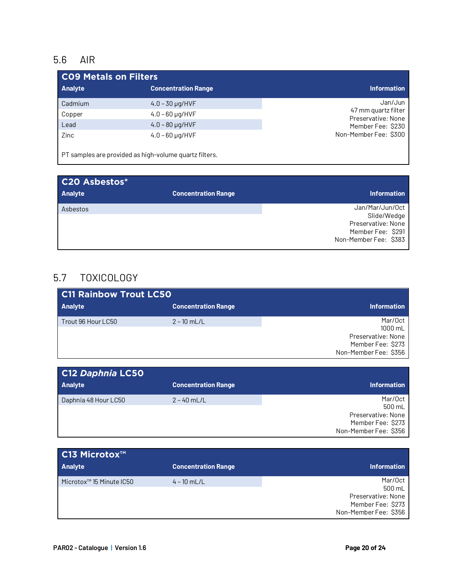### 5.6 AIR

| <b>CO9 Metals on Filters</b> |                            |                                           |
|------------------------------|----------------------------|-------------------------------------------|
| Analyte                      | <b>Concentration Range</b> | <b>Information</b>                        |
| Cadmium                      | $4.0 - 30 \mu q / HVF$     | Jan/Jun                                   |
| Copper                       | $4.0 - 60 \mu q / HVF$     | 47 mm quartz filter<br>Preservative: None |
| Lead                         | $4.0 - 80 \mu g / HVF$     | Member Fee: \$230                         |
| Zinc                         | $4.0 - 60 \mu q / HVF$     | Non-Member Fee: \$300                     |

PT samples are provided as high-volume quartz filters.

| <b>C20 Asbestos*</b> |                            |                                                                                                    |
|----------------------|----------------------------|----------------------------------------------------------------------------------------------------|
| <b>Analyte</b>       | <b>Concentration Range</b> | <b>Information</b>                                                                                 |
| Asbestos             |                            | Jan/Mar/Jun/Oct<br>Slide/Wedge<br>Preservative: None<br>Member Fee: \$291<br>Non-Member Fee: \$383 |

### 5.7 TOXICOLOGY

| <b>C11 Rainbow Trout LC50</b> |                            |                                                                                        |
|-------------------------------|----------------------------|----------------------------------------------------------------------------------------|
| <b>Analyte</b>                | <b>Concentration Range</b> | <b>Information</b>                                                                     |
| Trout 96 Hour LC50            | $2 - 10$ mL/L              | Mar/Oct<br>1000 mL<br>Preservative: None<br>Member Fee: \$273<br>Non-Member Fee: \$356 |

| C12 Daphnia LC50     |                            |                                                                                       |
|----------------------|----------------------------|---------------------------------------------------------------------------------------|
| <b>Analyte</b>       | <b>Concentration Range</b> | <b>Information</b>                                                                    |
| Daphnia 48 Hour LC50 | $2 - 40$ mL/L              | Mar/Oct<br>500 mL<br>Preservative: None<br>Member Fee: \$273<br>Non-Member Fee: \$356 |

| C13 Microtox™                        |                            |                                                                                       |
|--------------------------------------|----------------------------|---------------------------------------------------------------------------------------|
| <b>Analyte</b>                       | <b>Concentration Range</b> | <b>Information</b>                                                                    |
| Microtox <sup>™</sup> 15 Minute IC50 | $4 - 10$ mL/L              | Mar/Oct<br>500 mL<br>Preservative: None<br>Member Fee: \$273<br>Non-Member Fee: \$356 |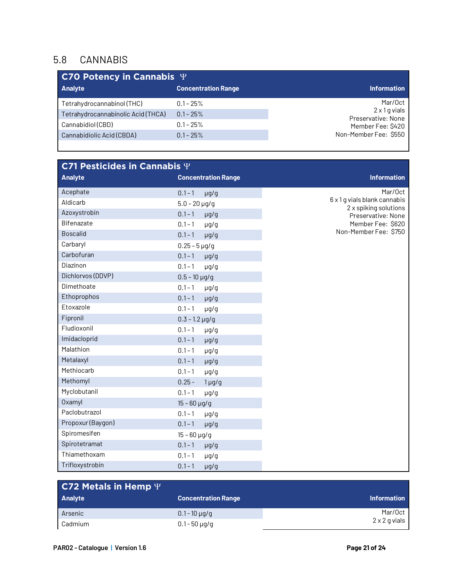#### 5.8 CANNABIS

| C70 Potency in Cannabis $\Psi$ |                                            |  |
|--------------------------------|--------------------------------------------|--|
| <b>Concentration Range</b>     | <b>Information</b>                         |  |
| $0.1 - 25\%$                   | Mar/Oct                                    |  |
| $0.1 - 25%$                    | $2 \times 1$ g vials<br>Preservative: None |  |
| $0.1 - 25\%$                   | Member Fee: \$420                          |  |
| $0.1 - 25%$                    | Non-Member Fee: \$550                      |  |
|                                |                                            |  |

| C71 Pesticides in Cannabis $\Psi$ |                            |                                                       |
|-----------------------------------|----------------------------|-------------------------------------------------------|
| <b>Analyte</b>                    | <b>Concentration Range</b> | <b>Information</b>                                    |
| Acephate                          | $0.1 - 1$<br>$\mu$ g/g     | Mar/Oct                                               |
| Aldicarb                          | $5.0 - 20 \,\mu g/g$       | 6 x 1 g vials blank cannabis<br>2 x spiking solutions |
| Azoxystrobin                      | $0.1 - 1$<br>$\mu$ g/g     | Preservative: None                                    |
| Bifenazate                        | $0.1 - 1$<br>µg/g          | Member Fee: \$620                                     |
| <b>Boscalid</b>                   | $0.1 - 1$<br>$\mu$ g/g     | Non-Member Fee: \$750                                 |
| Carbaryl                          | $0.25 - 5 \,\mu$ g/g       |                                                       |
| Carbofuran                        | $0.1 - 1$<br>$\mu$ g/g     |                                                       |
| Diazinon                          | $0.1 - 1$<br>$\mu$ g/g     |                                                       |
| Dichlorvos (DDVP)                 | $0.5 - 10 \,\mu g/g$       |                                                       |
| Dimethoate                        | $0.1 - 1$<br>$\mu$ g/g     |                                                       |
| Ethoprophos                       | $0.1 - 1$<br>$\mu$ g/g     |                                                       |
| Etoxazole                         | $0.1 - 1$<br>$\mu$ g/g     |                                                       |
| Fipronil                          | $0.3 - 1.2 \,\mu g/g$      |                                                       |
| Fludioxonil                       | $0.1 - 1$<br>$\mu$ g/g     |                                                       |
| Imidacloprid                      | $0.1 - 1$<br>$\mu$ g/g     |                                                       |
| Malathion                         | $0.1 - 1$<br>$\mu$ g/g     |                                                       |
| Metalaxyl                         | $0.1 - 1$<br>$\mu$ g/g     |                                                       |
| Methiocarb                        | $0.1 - 1$<br>µg/g          |                                                       |
| Methomyl                          | $0.25 -$<br>$1 \mu g/g$    |                                                       |
| Myclobutanil                      | $0.1 - 1$<br>$\mu$ g/g     |                                                       |
| <b>Oxamyl</b>                     | $15 - 60$ µg/g             |                                                       |
| Paclobutrazol                     | $0.1 - 1$<br>$\mu$ g/g     |                                                       |
| Propoxur (Baygon)                 | $0.1 - 1$<br>$\mu$ g/g     |                                                       |
| Spiromesifen                      | $15 - 60$ µg/g             |                                                       |
| Spirotetramat                     | $0.1 - 1$<br>$\mu$ g/g     |                                                       |
| Thiamethoxam                      | $0.1 - 1$<br>µg/g          |                                                       |
| Trifloxystrobin                   | $0.1 - 1$<br>$\mu$ g/g     |                                                       |

| <b>C72 Metals in Hemp</b> $\Psi$ |                            |                    |
|----------------------------------|----------------------------|--------------------|
| <b>Analyte</b>                   | <b>Concentration Range</b> | <b>Information</b> |
| Arsenic                          | $0.1 - 10 \mu q/q$         | Mar/Oct            |
| Cadmium                          | $0.1 - 50 \mu q/q$         | 2 x 2 g vials      |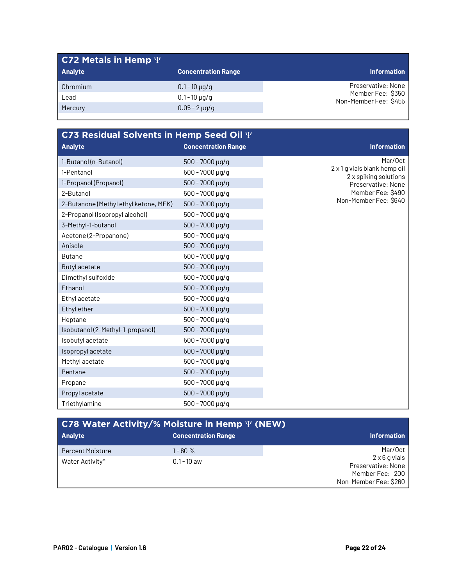| C72 Metals in Hemp $\Psi$ |                            |                                            |
|---------------------------|----------------------------|--------------------------------------------|
| <b>Analyte</b>            | <b>Concentration Range</b> | <b>Information</b>                         |
| Chromium                  | $0.1 - 10 \mu q/q$         | Preservative: None                         |
| Lead                      | $0.1 - 10 \mu q/q$         | Member Fee: \$350<br>Non-Member Fee: \$455 |
| Mercury                   | $0.05 - 2 \mu q/q$         |                                            |
|                           |                            |                                            |

| C73 Residual Solvents in Hemp Seed Oil $\Psi$ |                            |                                                       |
|-----------------------------------------------|----------------------------|-------------------------------------------------------|
| <b>Analyte</b>                                | <b>Concentration Range</b> | <b>Information</b>                                    |
| 1-Butanol (n-Butanol)                         | $500 - 7000 \,\mu g/g$     | Mar/Oct                                               |
| 1-Pentanol                                    | 500 - 7000 µg/g            | 2 x 1 g vials blank hemp oil<br>2 x spiking solutions |
| 1-Propanol (Propanol)                         | $500 - 7000 \,\mu g/g$     | Preservative: None                                    |
| 2-Butanol                                     | $500 - 7000 \mu g/g$       | Member Fee: \$490                                     |
| 2-Butanone (Methyl ethyl ketone, MEK)         | $500 - 7000 \,\mu g/g$     | Non-Member Fee: \$640                                 |
| 2-Propanol (Isopropyl alcohol)                | $500 - 7000 \mu g/g$       |                                                       |
| 3-Methyl-1-butanol                            | $500 - 7000 \,\mu g/g$     |                                                       |
| Acetone (2-Propanone)                         | $500 - 7000 \mu q/q$       |                                                       |
| Anisole                                       | $500 - 7000 \mu g/g$       |                                                       |
| <b>Butane</b>                                 | $500 - 7000 \mu g/g$       |                                                       |
| Butyl acetate                                 | $500 - 7000 \,\mu g/g$     |                                                       |
| Dimethyl sulfoxide                            | $500 - 7000 \mu g/g$       |                                                       |
| Ethanol                                       | $500 - 7000$ µg/g          |                                                       |
| Ethyl acetate                                 | $500 - 7000 \mu q/q$       |                                                       |
| Ethyl ether                                   | $500 - 7000 \mu q/q$       |                                                       |
| Heptane                                       | $500 - 7000 \mu g/g$       |                                                       |
| Isobutanol (2-Methyl-1-propanol)              | $500 - 7000 \,\mu g/g$     |                                                       |
| Isobutyl acetate                              | $500 - 7000 \,\mu g/g$     |                                                       |
| Isopropyl acetate                             | $500 - 7000 \,\mu g/g$     |                                                       |
| Methyl acetate                                | 500 - 7000 µg/g            |                                                       |
| Pentane                                       | $500 - 7000 \mu g/g$       |                                                       |
| Propane                                       | 500 - 7000 µg/g            |                                                       |
| Propyl acetate                                | $500 - 7000 \mu g/g$       |                                                       |
| Triethylamine                                 | $500 - 7000 \mu q/q$       |                                                       |

| C78 Water Activity/% Moisture in Hemp $\Psi$ (NEW) |                            |                                                                                        |  |  |
|----------------------------------------------------|----------------------------|----------------------------------------------------------------------------------------|--|--|
| <b>Analyte</b>                                     | <b>Concentration Range</b> | <b>Information</b>                                                                     |  |  |
| <b>Percent Moisture</b>                            | 1 - 60 %                   | Mar/Oct                                                                                |  |  |
| Water Activity*                                    | $0.1 - 10$ aw              | $2 \times 6$ g vials<br>Preservative: None<br>Member Fee: 200<br>Non-Member Fee: \$260 |  |  |

П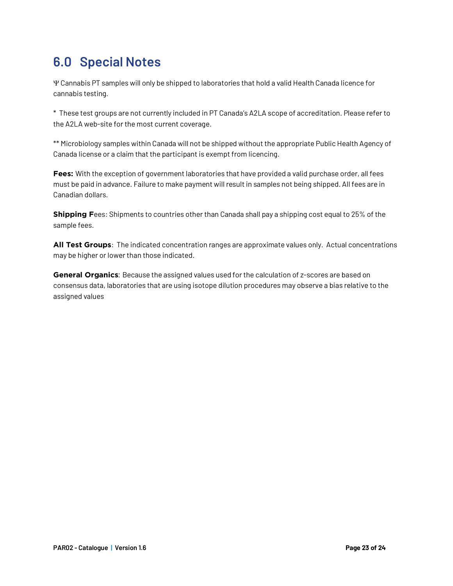## **6.0 Special Notes**

Y Cannabis PT samples will only be shipped to laboratories that hold a valid Health Canada licence for cannabis testing.

\* These test groups are not currently included in PT Canada's A2LA scope of accreditation. Please refer to the A2LA web-site for the most current coverage.

\*\* Microbiology samples within Canada will not be shipped without the appropriate Public Health Agency of Canada license or a claim that the participant is exempt from licencing.

**Fees:** With the exception of government laboratories that have provided a valid purchase order, all fees must be paid in advance. Failure to make payment will result in samples not being shipped. All fees are in Canadian dollars.

**Shipping F**ees: Shipments to countries other than Canada shall pay a shipping cost equal to 25% of the sample fees.

**All Test Groups**: The indicated concentration ranges are approximate values only. Actual concentrations may be higher or lower than those indicated.

**General Organics**: Because the assigned values used for the calculation of z-scores are based on consensus data, laboratories that are using isotope dilution procedures may observe a bias relative to the assigned values